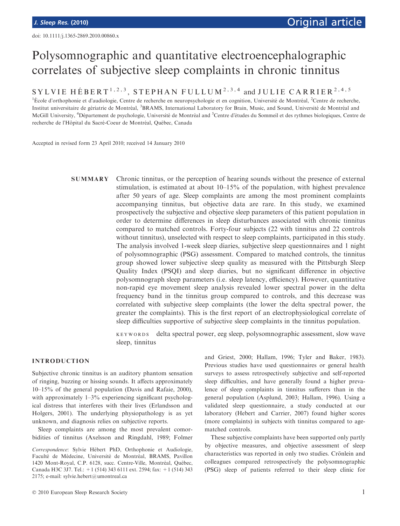# Polysomnographic and quantitative electroencephalographic correlates of subjective sleep complaints in chronic tinnitus

# SYLVIE HÉBERT<sup>1,2,3</sup>, STEPHAN FULLUM<sup>2,3,4</sup> and JULIE CARRIER<sup>2,4,5</sup>

<sup>1</sup>École d'orthophonie et d'audiologie, Centre de recherche en neuropsychologie et en cognition, Université de Montréal, <sup>2</sup>Centre de recherche, Institut universitaire de gériatrie de Montréal, <sup>3</sup>BRAMS, International Laboratory for Brain, Music, and Sound, Université de Montréal and McGill University, <sup>4</sup>Département de psychologie, Université de Montréal and <sup>5</sup>Centre d'études du Sommeil et des rythmes biologiques, Centre de recherche de l'Hôpital du Sacré-Coeur de Montréal, Québec, Canada

Accepted in revised form 23 April 2010; received 14 January 2010

SUMMARY Chronic tinnitus, or the perception of hearing sounds without the presence of external stimulation, is estimated at about 10–15% of the population, with highest prevalence after 50 years of age. Sleep complaints are among the most prominent complaints accompanying tinnitus, but objective data are rare. In this study, we examined prospectively the subjective and objective sleep parameters of this patient population in order to determine differences in sleep disturbances associated with chronic tinnitus compared to matched controls. Forty-four subjects (22 with tinnitus and 22 controls without tinnitus), unselected with respect to sleep complaints, participated in this study. The analysis involved 1-week sleep diaries, subjective sleep questionnaires and 1 night of polysomnographic (PSG) assessment. Compared to matched controls, the tinnitus group showed lower subjective sleep quality as measured with the Pittsburgh Sleep Quality Index (PSQI) and sleep diaries, but no significant difference in objective polysomnograph sleep parameters (i.e. sleep latency, efficiency). However, quantitative non-rapid eye movement sleep analysis revealed lower spectral power in the delta frequency band in the tinnitus group compared to controls, and this decrease was correlated with subjective sleep complaints (the lower the delta spectral power, the greater the complaints). This is the first report of an electrophysiological correlate of sleep difficulties supportive of subjective sleep complaints in the tinnitus population.

> keywords delta spectral power, eeg sleep, polysomnographic assessment, slow wave sleep, tinnitus

# INTRODUCTION

Subjective chronic tinnitus is an auditory phantom sensation of ringing, buzzing or hissing sounds. It affects approximately 10–15% of the general population (Davis and Rafaie, 2000), with approximately  $1-3\%$  experiencing significant psychological distress that interferes with their lives (Erlandsson and Holgers, 2001). The underlying physiopathology is as yet unknown, and diagnosis relies on subjective reports.

Sleep complaints are among the most prevalent comorbidities of tinnitus (Axelsson and Ringdahl, 1989; Folmer

Correspondence: Sylvie Hébert PhD, Orthophonie et Audiologie, Faculté de Médecine, Université de Montréal, BRAMS, Pavillon 1420 Mont-Royal, C.P. 6128, succ. Centre-Ville, Montréal, Québec, Canada H3C 3J7. Tel.: +1 (514) 343 6111 ext. 2594; fax: +1 (514) 343 2175; e-mail: sylvie.hebert@umontreal.ca

and Griest, 2000; Hallam, 1996; Tyler and Baker, 1983). Previous studies have used questionnaires or general health surveys to assess retrospectively subjective and self-reported sleep difficulties, and have generally found a higher prevalence of sleep complaints in tinnitus sufferers than in the general population (Asplund, 2003; Hallam, 1996). Using a validated sleep questionnaire, a study conducted at our laboratory (Hebert and Carrier, 2007) found higher scores (more complaints) in subjects with tinnitus compared to agematched controls.

These subjective complaints have been supported only partly by objective measures, and objective assessment of sleep characteristics was reported in only two studies. Crönlein and colleagues compared retrospectively the polysomnographic (PSG) sleep of patients referred to their sleep clinic for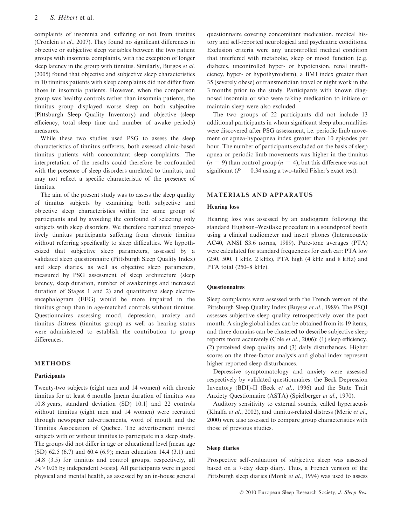complaints of insomnia and suffering or not from tinnitus (Cronlein et al., 2007). They found no significant differences in objective or subjective sleep variables between the two patient groups with insomnia complaints, with the exception of longer sleep latency in the group with tinnitus. Similarly, Burgos et al. (2005) found that objective and subjective sleep characteristics in 10 tinnitus patients with sleep complaints did not differ from those in insomnia patients. However, when the comparison group was healthy controls rather than insomnia patients, the tinnitus group displayed worse sleep on both subjective (Pittsburgh Sleep Quality Inventory) and objective (sleep efficiency, total sleep time and number of awake periods) measures.

While these two studies used PSG to assess the sleep characteristics of tinnitus sufferers, both assessed clinic-based tinnitus patients with concomitant sleep complaints. The interpretation of the results could therefore be confounded with the presence of sleep disorders unrelated to tinnitus, and may not reflect a specific characteristic of the presence of tinnitus.

The aim of the present study was to assess the sleep quality of tinnitus subjects by examining both subjective and objective sleep characteristics within the same group of participants and by avoiding the confound of selecting only subjects with sleep disorders. We therefore recruited prospectively tinnitus participants suffering from chronic tinnitus without referring specifically to sleep difficulties. We hypothesized that subjective sleep parameters, assessed by a validated sleep questionnaire (Pittsburgh Sleep Quality Index) and sleep diaries, as well as objective sleep parameters, measured by PSG assessment of sleep architecture (sleep latency, sleep duration, number of awakenings and increased duration of Stages 1 and 2) and quantitative sleep electroencephalogram (EEG) would be more impaired in the tinnitus group than in age-matched controls without tinnitus. Questionnaires assessing mood, depression, anxiety and tinnitus distress (tinnitus group) as well as hearing status were administered to establish the contribution to group differences.

# METHODS

# **Participants**

Twenty-two subjects (eight men and 14 women) with chronic tinnitus for at least 6 months [mean duration of tinnitus was 10.8 years, standard deviation (SD) 10.1] and 22 controls without tinnitus (eight men and 14 women) were recruited through newspaper advertisements, word of mouth and the Tinnitus Association of Quebec. The advertisement invited subjects with or without tinnitus to participate in a sleep study. The groups did not differ in age or educational level [mean age (SD) 62.5 (6.7) and 60.4 (6.9); mean education 14.4 (3.1) and 14.8 (3.5) for tinnitus and control groups, respectively, all  $Ps > 0.05$  by independent *t*-tests. All participants were in good physical and mental health, as assessed by an in-house general questionnaire covering concomitant medication, medical history and self-reported neurological and psychiatric conditions. Exclusion criteria were any uncontrolled medical condition that interfered with metabolic, sleep or mood function (e.g. diabetes, uncontrolled hyper- or hypotension, renal insufficiency, hyper- or hypothyroidism), a BMI index greater than 35 (severely obese) or transmeridian travel or night work in the 3 months prior to the study. Participants with known diagnosed insomnia or who were taking medication to initiate or maintain sleep were also excluded.

The two groups of 22 participants did not include 13 additional participants in whom significant sleep abnormalities were discovered after PSG assessment, i.e. periodic limb movement or apnea-hypoapnea index greater than 10 episodes per hour. The number of participants excluded on the basis of sleep apnea or periodic limb movements was higher in the tinnitus  $(n = 9)$  than control group  $(n = 4)$ , but this difference was not significant ( $P = 0.34$  using a two-tailed Fisher's exact test).

# MATERIALS AND APPARATUS

## Hearing loss

Hearing loss was assessed by an audiogram following the standard Hughson–Westlake procedure in a soundproof booth using a clinical audiometer and insert phones (Interacoustic AC40, ANSI S3.6 norms, 1989). Pure-tone averages (PTA) were calculated for standard frequencies for each ear: PTA low (250, 500, 1 kHz, 2 kHz), PTA high (4 kHz and 8 kHz) and PTA total (250–8 kHz).

#### **Ouestionnaires**

Sleep complaints were assessed with the French version of the Pittsburgh Sleep Quality Index (Buysse et al., 1989). The PSQI assesses subjective sleep quality retrospectively over the past month. A single global index can be obtained from its 19 items, and three domains can be clustered to describe subjective sleep reports more accurately (Cole et al., 2006): (1) sleep efficiency, (2) perceived sleep quality and (3) daily disturbances. Higher scores on the three-factor analysis and global index represent higher reported sleep disturbances.

Depressive symptomatology and anxiety were assessed respectively by validated questionnaires: the Beck Depression Inventory (BDI)-II (Beck et al., 1996) and the State Trait Anxiety Questionnaire (ASTA) (Spielberger et al., 1970).

Auditory sensitivity to external sounds, called hyperacusis (Khalfa et al., 2002), and tinnitus-related distress (Meric et al., 2000) were also assessed to compare group characteristics with those of previous studies.

#### Sleep diaries

Prospective self-evaluation of subjective sleep was assessed based on a 7-day sleep diary. Thus, a French version of the Pittsburgh sleep diaries (Monk et al., 1994) was used to assess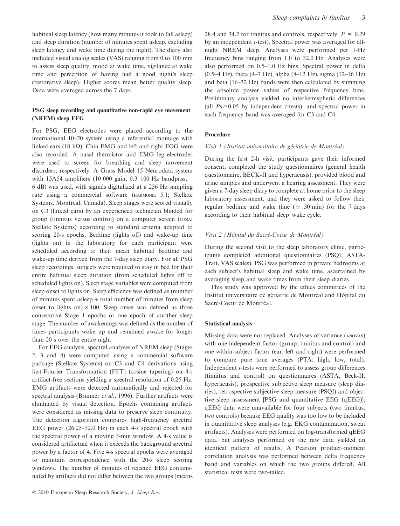habitual sleep latency (how many minutes it took to fall asleep) and sleep duration (number of minutes spent asleep, excluding sleep latency and wake time during the night). The diary also included visual analog scales (VAS) ranging from 0 to 100 mm to assess sleep quality, mood at wake time, vigilance at wake time and perception of having had a good night's sleep (restorative sleep). Higher scores mean better quality sleep. Data were averaged across the 7 days.

# PSG sleep recording and quantitative non-rapid eye movement (NREM) sleep EEG

For PSG, EEG electrodes were placed according to the international 10–20 system using a referential montage with linked ears (10 k $\Omega$ ). Chin EMG and left and right EOG were also recorded. A nasal thermistor and EMG leg electrodes were used to screen for breathing and sleep movement disorders, respectively. A Grass Model 15 Neurodata system with 15A54 amplifiers (10 000 gain, 0.3–100 Hz bandpass, – 6 dB) was used, with signals digitalized at a 256 Hz sampling rate using a commercial software (HARMONIE 5.1; Stellate Systems, Montreal, Canada). Sleep stages were scored visually on C3 (linked ears) by an experienced technician blinded for group (tinnitus versus control) on a computer screen (LUNA; Stellate Systems) according to standard criteria adapted to scoring 20-s epochs. Bedtime (lights off) and wake-up time (lights on) in the laboratory for each participant were scheduled according to their mean habitual bedtime and wake-up time derived from the 7-day sleep diary. For all PSG sleep recordings, subjects were required to stay in bed for their entire habitual sleep duration (from scheduled lights off to scheduled lights on). Sleep stage variables were computed from sleep onset to lights on. Sleep efficiency was defined as (number of minutes spent asleep  $\div$  total number of minutes from sleep onset to lights on)  $\times$  100. Sleep onset was defined as three consecutive Stage 1 epochs or one epoch of another sleep stage. The number of awakenings was defined as the number of times participants woke up and remained awake for longer than 20 s over the entire night.

For EEG analysis, spectral analyses of NREM sleep (Stages 2, 3 and 4) were computed using a commercial software package (Stellate Systems) on C3 and C4 derivations using fast-Fourier Transformation (FFT) (cosine tapering) on 4-s artifact-free sections yielding a spectral resolution of 0.25 Hz. EMG artifacts were detected automatically and rejected for spectral analysis (Brunner et al., 1996). Further artifacts were eliminated by visual detection. Epochs containing artifacts were considered as missing data to preserve sleep continuity. The detection algorithm compares high-frequency spectral EEG power (26.25–32.0 Hz) in each 4-s spectral epoch with the spectral power of a moving 3-min window. A 4-s value is considered artifactual when it exceeds the background spectral power by a factor of 4. Five 4-s spectral epochs were averaged to maintain correspondence with the 20-s sleep scoring windows. The number of minutes of rejected EEG contaminated by artifacts did not differ between the two groups (means 28.4 and 34.2 for tinnitus and controls, respectively,  $P = 0.29$ by an independent *t*-test). Spectral power was averaged for allnight NREM sleep. Analyses were performed per 1-Hz frequency bins ranging from 1.0 to 32.0 Hz. Analyses were also performed on 0.5–1.0 Hz bins. Spectral power in delta (0.5–4 Hz), theta (4–7 Hz), alpha (8–12 Hz), sigma (12–16 Hz) and beta (16–32 Hz) bands were then calculated by summing the absolute power values of respective frequency bins. Preliminary analysis yielded no interhemispheric differences (all  $Ps > 0.05$  by independent *t*-tests), and spectral power in each frequency band was averaged for C3 and C4.

# Procedure

#### Visit 1 (Institut universitaire de gériatrie de Montréal)

During the first 2-h visit, participants gave their informed consent, completed the study questionnaires (general health questionnaire, BECK-II and hyperacusis), provided blood and urine samples and underwent a hearing assessment. They were given a 7-day sleep diary to complete at home prior to the sleep laboratory assessment, and they were asked to follow their regular bedtime and wake time  $(\pm 30 \text{ min})$  for the 7 days according to their habitual sleep–wake cycle.

## Visit 2 (Hôpital du Sacré-Coeur de Montréal)

During the second visit to the sleep laboratory clinic, participants completed additional questionnaires (PSQI, ASTA-Trait, VAS scales). PSG was performed in private bedrooms at each subject's habitual sleep and wake time, ascertained by averaging sleep and wake times from their sleep diaries.

This study was approved by the ethics committees of the Institut universitaire de gériatrie de Montréal and Hôpital du Sacré-Coeur de Montréal.

#### Statistical analysis

Missing data were not replaced. Analyses of variance (anovas) with one independent factor (group: tinnitus and control) and one within-subject factor (ear: left and right) were performed to compare pure tone averages (PTA: high, low, total). Independent t-tests were performed to assess group differences (tinnitus and control) on questionnaires (ASTA, Beck-II, hyperacusis), prospective subjective sleep measure (sleep diaries), retrospective subjective sleep measure (PSQI) and objective sleep assessment [PSG and quantitative EEG (qEEG)]; qEEG data were unavailable for four subjects (two tinnitus, two controls) because EEG quality was too low to be included in quantitative sleep analyses (e.g. EKG contamination, sweat artifacts). Analyses were performed on log-transformed qEEG data, but analyses performed on the raw data yielded an identical pattern of results. A Pearson product–moment correlation analysis was performed between delta frequency band and variables on which the two groups differed. All statistical tests were two-tailed.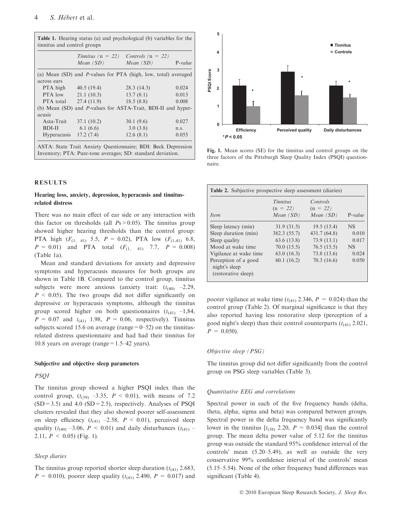|                                                                |                                   | Tinnitus ( $n = 22$ ) Controls ( $n = 22$ )                  |           |  |  |
|----------------------------------------------------------------|-----------------------------------|--------------------------------------------------------------|-----------|--|--|
|                                                                | Mean(SD)                          | Mean(SD)                                                     | $P-value$ |  |  |
| (a) Mean (SD) and P-values for PTA (high, low, total) averaged |                                   |                                                              |           |  |  |
| across ears                                                    |                                   |                                                              |           |  |  |
|                                                                | PTA high $40.5(19.4)$             | 28.3(14.3)                                                   | 0.024     |  |  |
|                                                                | PTA low $21.1(10.3)$              | 13.7(8.1)                                                    | 0.013     |  |  |
|                                                                | PTA total $27.4(11.9)$ 18.5 (8.8) |                                                              | 0.008     |  |  |
|                                                                |                                   | (b) Mean (SD) and P-values for ASTA-Trait, BDI-II and hyper- |           |  |  |
| acusis                                                         |                                   |                                                              |           |  |  |
| Asta-Trait                                                     | 37.1(10.2)                        | 30.1(9.6)                                                    | 0.027     |  |  |
| BDI-II                                                         | 6.1(6.6)                          | 3.0(3.8)                                                     | n.s.      |  |  |
| Hyperacusis                                                    | 17.2(7.4)                         | 12.6(8.1)                                                    | 0.055     |  |  |

Inventory; PTA: Pure-tone averages; SD: standard deviation.

# RESULTS

# Hearing loss, anxiety, depression, hyperacusis and tinnitusrelated distress

There was no main effect of ear side or any interaction with this factor on thresholds (all  $Ps > 0.05$ ). The tinnitus group showed higher hearing thresholds than the control group: PTA high  $(F_{(1, 41)} 5.5, P = 0.02)$ , PTA low  $(F_{(1,41)} 6.8,$  $P = 0.01$ ) and PTA total  $(F_{(1, 41)}, 7.7, P = 0.008)$ (Table 1a).

Mean and standard deviations for anxiety and depressive symptoms and hyperacusis measures for both groups are shown in Table 1B. Compared to the control group, tinnitus subjects were more anxious (anxiety trait:  $(t_{(40)}$  –2.29,  $P \leq 0.05$ ). The two groups did not differ significantly on depressive or hyperacusis symptoms, although the tinnitus group scored higher on both questionnaires  $(t_{(41)} -1,84,$  $P = 0.07$  and  $t_{(41)}$  1.98,  $P = 0.06$ , respectively). Tinnitus subjects scored 15.6 on average (range  $=0$ –52) on the tinnitusrelated distress questionnaire and had had their tinnitus for 10.8 years on average (range=1.5–42 years).

#### Subjective and objective sleep parameters

#### PSQI

The tinnitus group showed a higher PSQI index than the control group,  $(t_{(39)} -3.35, P \le 0.01)$ , with means of 7.2  $(SD=3.5)$  and 4.0  $(SD=2.5)$ , respectively. Analyses of PSQI clusters revealed that they also showed poorer self-assessment on sleep efficiency  $(t_{(41)}$  -2.58,  $P < 0.01$ ), perceived sleep quality ( $t_{(40)}$  –3.06,  $P < 0.01$ ) and daily disturbances ( $t_{(41)}$  – 2.11,  $P \le 0.05$ ) (Fig. 1).

# Sleep diaries

The tinnitus group reported shorter sleep duration  $(t_{(41)}$  2.683,  $P = 0.010$ , poorer sleep quality ( $t_{(41)}$  2.490,  $P = 0.017$ ) and



Fig. 1. Mean scores (SE) for the tinnitus and control groups on the three factors of the Pittsburgh Sleep Quality Index (PSQI) questionnaire.

| PSQI Score                                                                                                                                                                                 | s<br>2<br>1<br>0 | <b>Efficiency</b>                                                                                                                                                                                                                                                                                                                                                                                                                                                                                                                                                                                                  | Perceived quality                                                                     |                                                                                       | T                                                   |  |
|--------------------------------------------------------------------------------------------------------------------------------------------------------------------------------------------|------------------|--------------------------------------------------------------------------------------------------------------------------------------------------------------------------------------------------------------------------------------------------------------------------------------------------------------------------------------------------------------------------------------------------------------------------------------------------------------------------------------------------------------------------------------------------------------------------------------------------------------------|---------------------------------------------------------------------------------------|---------------------------------------------------------------------------------------|-----------------------------------------------------|--|
| Daily disturbances<br>$*P < 0.05$<br>Fig. 1. Mean scores (SE) for the tinnitus and control groups on the<br>three factors of the Pittsburgh Sleep Quality Index (PSQI) question-<br>naire. |                  |                                                                                                                                                                                                                                                                                                                                                                                                                                                                                                                                                                                                                    |                                                                                       |                                                                                       |                                                     |  |
|                                                                                                                                                                                            |                  | Table 2. Subjective prospective sleep assessment (diaries)                                                                                                                                                                                                                                                                                                                                                                                                                                                                                                                                                         |                                                                                       |                                                                                       |                                                     |  |
|                                                                                                                                                                                            | <i>Item</i>      |                                                                                                                                                                                                                                                                                                                                                                                                                                                                                                                                                                                                                    | Tinnitus<br>$(n = 22)$<br>Mean (SD)                                                   | Controls<br>$(n = 22)$<br>Mean(SD)                                                    | P-value                                             |  |
|                                                                                                                                                                                            |                  | Sleep latency (min)<br>Sleep duration (min)<br>Sleep quality<br>Mood at wake time<br>Vigilance at wake time<br>Perception of a good<br>night's sleep<br>(restorative sleep)                                                                                                                                                                                                                                                                                                                                                                                                                                        | 31.9 (31.5)<br>382.3 (55.7)<br>63.6 (13.8)<br>70.0 (15.5)<br>63.0(16.3)<br>60.1(16.2) | 19.5 (15.4)<br>431.7 (64.8)<br>73.9 (13.1)<br>76.5(15.5)<br>73.8 (13.6)<br>70.3(16.6) | <b>NS</b><br>0.010<br>0.017<br>NS<br>0.024<br>0.050 |  |
|                                                                                                                                                                                            |                  | poorer vigilance at wake time $(t_{(41)}$ 2.346, $P = 0.024$ ) than the<br>control group (Table 2). Of marginal significance is that they<br>also reported having less restorative sleep (perception of a<br>good night's sleep) than their control counterparts $(t_{(41)} 2.021,$<br>$P = 0.050$ .                                                                                                                                                                                                                                                                                                               |                                                                                       |                                                                                       |                                                     |  |
|                                                                                                                                                                                            |                  | Objective sleep (PSG)                                                                                                                                                                                                                                                                                                                                                                                                                                                                                                                                                                                              |                                                                                       |                                                                                       |                                                     |  |
|                                                                                                                                                                                            |                  | The tinnitus group did not differ significantly from the control<br>group on PSG sleep variables (Table 3).                                                                                                                                                                                                                                                                                                                                                                                                                                                                                                        |                                                                                       |                                                                                       |                                                     |  |
|                                                                                                                                                                                            |                  | Quantitative EEG and correlations                                                                                                                                                                                                                                                                                                                                                                                                                                                                                                                                                                                  |                                                                                       |                                                                                       |                                                     |  |
|                                                                                                                                                                                            |                  | Spectral power in each of the five frequency bands (delta,<br>theta, alpha, sigma and beta) was compared between groups.<br>Spectral power in the delta frequency band was significantly<br>lower in the tinnitus $[t_{(38)} 2.20, P = 0.034]$ than the control<br>group. The mean delta power value of 5.12 for the tinnitus<br>group was outside the standard 95% confidence interval of the<br>controls' mean (5.20–5.49), as well as outside the very<br>conservative 99% confidence interval of the controls' mean<br>(5.15–5.54). None of the other frequency band differences was<br>significant (Table 4). |                                                                                       |                                                                                       |                                                     |  |

#### Objective sleep (PSG)

#### Quantitative EEG and correlations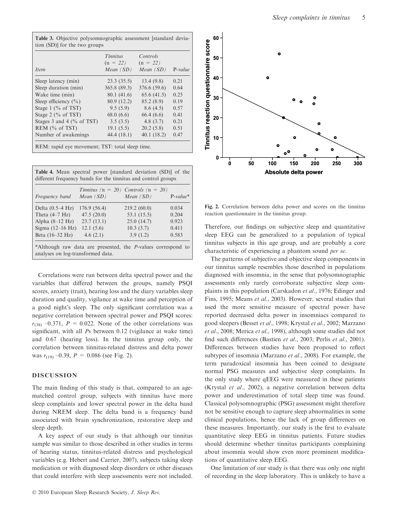|                              | Tinnitus<br>$(n = 22)$ | Controls<br>$(n = 22)$ |           |
|------------------------------|------------------------|------------------------|-----------|
| <i>Item</i>                  | Mean $(SD)$            | Mean $(SD)$            | $P-value$ |
| Sleep latency (min)          | 23.3(35.5)             | 13.4(9.8)              | 0.21      |
| Sleep duration (min)         | 365.8 (89.3)           | 376.6 (59.6)           | 0.64      |
| Wake time (min)              | 80.1 (41.6)            | 65.6(41.5)             | 0.25      |
| Sleep efficiency $(\% )$     | 80.9 (12.2)            | 85.2(8.9)              | 0.19      |
| Stage 1 ( $\%$ of TST)       | 9.5(5.9)               | 8.6(4.5)               | 0.57      |
| Stage 2 ( $\%$ of TST)       | 68.0(6.6)              | 66.4(6.6)              | 0.41      |
| Stages 3 and 4 $(\%$ of TST) | 3.5(3.5)               | 4.8(3.7)               | 0.21      |
| $REM$ (% of TST)             | 19.1(5.5)              | 20.2(5.8)              | 0.51      |
| Number of awakenings         | 44.4 (18.1)            | 40.1(18.2)             | 0.47      |

| <b>Table 4.</b> Mean spectral power [standard deviation (SD)] of the<br>different frequency bands for the tinnitus and control groups |                       |                                             |             |  |  |  |
|---------------------------------------------------------------------------------------------------------------------------------------|-----------------------|---------------------------------------------|-------------|--|--|--|
| <i>Frequency band</i>                                                                                                                 | $Mean(SD)$ $Mean(SD)$ | Tinnitus ( $n = 20$ ) Controls ( $n = 20$ ) | $P-value^*$ |  |  |  |
| Delta $(0.5-4 \text{ Hz})$                                                                                                            | 176.9(56.4)           | 219.2(60.0)                                 | 0.034       |  |  |  |
| Theta $(4-7 \text{ Hz})$                                                                                                              | 47.5(20.0)            | 53.1 (15.5)                                 | 0.204       |  |  |  |
| Alpha $(8-12 \text{ Hz})$                                                                                                             | 23.7(13.1)            | 25.0(14.7)                                  | 0.923       |  |  |  |
| Sigma $(12-16$ Hz)                                                                                                                    | 12.1(5.6)             | 10.3(3.7)                                   | 0.411       |  |  |  |
| Beta (16–32 Hz)                                                                                                                       | 4.6(2.1)              | 3.9(1.2)                                    | 0.583       |  |  |  |
| *Although raw data are presented, the <i>P</i> -values correspond to<br>analyses on log-transformed data.                             |                       |                                             |             |  |  |  |

Correlations were run between delta spectral power and the variables that differed between the groups, namely PSQI scores, anxiety (trait), hearing loss and the diary variables sleep duration and quality, vigilance at wake time and perception of a good night's sleep. The only significant correlation was a negative correlation between spectral power and PSQI scores:  $r_{(38)}$  –0.371,  $P = 0.022$ . None of the other correlations was significant, with all Ps between 0.12 (vigilance at wake time) and 0.67 (hearing loss). In the tinnitus group only, the correlation between tinnitus-related distress and delta power was  $r_{(19)} -0.39$ ,  $P = 0.086$  (see Fig. 2).

# DISCUSSION

The main finding of this study is that, compared to an agematched control group, subjects with tinnitus have more sleep complaints and lower spectral power in the delta band during NREM sleep. The delta band is a frequency band associated with brain synchronization, restorative sleep and sleep depth.

A key aspect of our study is that although our tinnitus sample was similar to those described in other studies in terms of hearing status, tinnitus-related distress and psychological variables (e.g. Hebert and Carrier, 2007), subjects taking sleep medication or with diagnosed sleep disorders or other diseases that could interfere with sleep assessments were not included.



Fig. 2. Correlation between delta power and scores on the tinnitus reaction questionnaire in the tinnitus group.

Therefore, our findings on subjective sleep and quantitative sleep EEG can be generalized to a population of typical tinnitus subjects in this age group, and are probably a core characteristic of experiencing a phantom sound per se.

The patterns of subjective and objective sleep components in our tinnitus sample resembles those described in populations diagnosed with insomnia, in the sense that polysomnographic assessments only rarely corroborate subjective sleep complaints in this population (Carskadon et al., 1976; Edinger and Fins, 1995; Means et al., 2003). However, several studies that used the more sensitive measure of spectral power have reported decreased delta power in insomniacs compared to good sleepers (Besset et al., 1998; Krystal et al., 2002; Marzano et al., 2008; Merica et al., 1998), although some studies did not find such differences (Bastien et al., 2003; Perlis et al., 2001). Differences between studies have been proposed to reflect subtypes of insomnia (Marzano et al., 2008). For example, the term paradoxical insomnia has been coined to designate normal PSG measures and subjective sleep complaints. In the only study where qEEG were measured in these patients (Krystal et al., 2002), a negative correlation between delta power and underestimation of total sleep time was found. Classical polysomnographic (PSG) assessment might therefore not be sensitive enough to capture sleep abnormalities in some clinical populations, hence the lack of group differences on these measures. Importantly, our study is the first to evaluate quantitative sleep EEG in tinnitus patients. Future studies should determine whether tinnitus participants complaining about insomnia would show even more prominent modifications of quantitative sleep EEG.

One limitation of our study is that there was only one night of recording in the sleep laboratory. This is unlikely to have a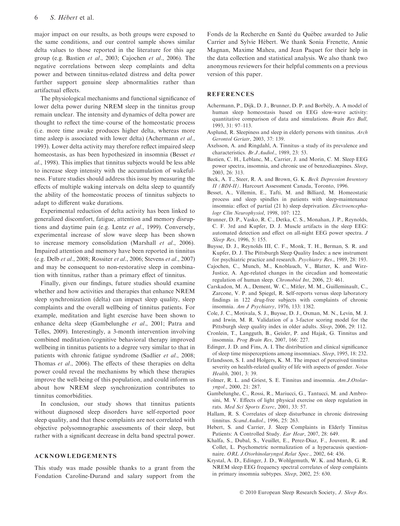major impact on our results, as both groups were exposed to the same conditions, and our control sample shows similar delta values to those reported in the literature for this age group (e.g. Bastien et al., 2003; Cajochen et al., 2006). The negative correlations between sleep complaints and delta power and between tinnitus-related distress and delta power further support genuine sleep abnormalities rather than artifactual effects.

The physiological mechanisms and functional significance of lower delta power during NREM sleep in the tinnitus group remain unclear. The intensity and dynamics of delta power are thought to reflect the time–course of the homeostatic process (i.e. more time awake produces higher delta, whereas more time asleep is associated with lower delta) (Achermann et al., 1993). Lower delta activity may therefore reflect impaired sleep homeostasis, as has been hypothesized in insomnia (Besset et al., 1998). This implies that tinnitus subjects would be less able to increase sleep intensity with the accumulation of wakefulness. Future studies should address this issue by measuring the effects of multiple waking intervals on delta sleep to quantify the ability of the homeostatic process of tinnitus subjects to adapt to different wake durations.

Experimental reduction of delta activity has been linked to generalized discomfort, fatigue, attention and memory disruptions and daytime pain (e.g. Lentz et al., 1999). Conversely, experimental increase of slow wave sleep has been shown to increase memory consolidation (Marshall et al., 2006). Impaired attention and memory have been reported in tinnitus (e.g. Delb et al., 2008; Rossiter et al., 2006; Stevens et al., 2007) and may be consequent to non-restorative sleep in combination with tinnitus, rather than a primary effect of tinnitus.

Finally, given our findings, future studies should examine whether and how activities and therapies that enhance NREM sleep synchronization (delta) can impact sleep quality, sleep complaints and the overall wellbeing of tinnitus patients. For example, meditation and light exercise have been shown to enhance delta sleep (Gambelunghe et al., 2001; Patra and Telles, 2009). Interestingly, a 3-month intervention involving combined meditation ⁄ cognitive behavioral therapy improved wellbeing in tinnitus patients to a degree very similar to that in patients with chronic fatigue syndrome (Sadlier et al., 2008; Thomas et al., 2006). The effects of these therapies on delta power could reveal the mechanisms by which these therapies improve the well-being of this population, and could inform us about how NREM sleep synchronization contributes to tinnitus comorbidities.

In conclusion, our study shows that tinnitus patients without diagnosed sleep disorders have self-reported poor sleep quality, and that these complaints are not correlated with objective polysomnographic assessments of their sleep, but rather with a significant decrease in delta band spectral power.

# ACKNOWLEDGEMENTS

This study was made possible thanks to a grant from the Fondation Caroline-Durand and salary support from the Fonds de la Recherche en Santé du Québec awarded to Julie Carrier and Sylvie Hébert. We thank Sonia Frenette, Annie Magnan, Maxime Maheu, and Jean Paquet for their help in the data collection and statistical analysis. We also thank two anonymous reviewers for their helpful comments on a previous version of this paper.

# **REFERENCES**

- Achermann, P., Dijk, D. J., Brunner, D. P. and Borbély, A. A model of human sleep homeostasis based on EEG slow-wave activity: quantitative comparison of data and simulations. Brain Res Bull, 1993, 31: 97–113.
- Asplund, R. Sleepiness and sleep in elderly persons with tinnitus. Arch Gerontol Geriatr, 2003, 37: 139.
- Axelsson, A. and Ringdahl, A. Tinnitus–a study of its prevalence and characteristics. Br.J.Audiol., 1989, 23: 53.
- Bastien, C. H., Leblanc, M., Carrier, J. and Morin, C. M. Sleep EEG power spectra, insomnia, and chronic use of benzodiazepines. Sleep, 2003, 26: 313.
- Beck, A. T., Steer, R. A. and Brown, G. K. Beck Depression Inventory II (BDI-II). Harcourt Assessment Canada, Toronto, 1996.
- Besset, A., Villemin, E., Tafti, M. and Billiard, M. Homeostatic process and sleep spindles in patients with sleep-maintenance insomnia: effect of partial (21 h) sleep deprivation. Electroencephalogr Clin Neurophysiol, 1998, 107: 122.
- Brunner, D. P., Vasko, R. C., Detka, C. S., Monahan, J. P., Reynolds, C. F. 3rd and Kupfer, D. J. Muscle artifacts in the sleep EEG: automated detection and effect on all-night EEG power spectra. J Sleep Res, 1996, 5: 155.
- Buysse, D. J., Reynolds III, C. F., Monk, T. H., Berman, S. R. and Kupfer, D. J. The Pittsburgh Sleep Quality Index: a new instrument for psychiatric practice and research. Psychiatry Res., 1989, 28: 193.
- Cajochen, C., Munch, M., Knoblauch, V., Blatter, K. and Wirz-Justice, A. Age-related changes in the circadian and homeostatic regulation of human sleep. Chronobiol Int, 2006, 23: 461.
- Carskadon, M. A., Dement, W. C., Mitler, M. M., Guilleminault, C., Zarcone, V. P. and Spiegel, R. Self-reports versus sleep laboratory findings in 122 drug-free subjects with complaints of chronic insomnia. Am J Psychiatry, 1976, 133: 1382.
- Cole, J. C., Motivala, S. J., Buysse, D. J., Oxman, M. N., Levin, M. J. and Irwin, M. R. Validation of a 3-factor scoring model for the Pittsburgh sleep quality index in older adults. Sleep, 2006, 29: 112.
- Cronlein, T., Langguth, B., Geisler, P. and Hajak, G. Tinnitus and insomnia. Prog Brain Res, 2007, 166: 227.
- Edinger, J. D. and Fins, A. I. The distribution and clinical significance of sleep time misperceptions among insomniacs. Sleep, 1995, 18: 232.
- Erlandsson, S. I. and Holgers, K. M. The impact of perceived tinnitus severity on health-related quality of life with aspects of gender. Noise Health, 2001, 3: 39.
- Folmer, R. L. and Griest, S. E. Tinnitus and insomnia. Am.J.Otolaryngol., 2000, 21: 287.
- Gambelunghe, C., Rossi, R., Mariucci, G., Tantucci, M. and Ambrosini, M. V. Effects of light physical exercise on sleep regulation in rats. Med Sci Sports Exerc, 2001, 33: 57.
- Hallam, R. S. Correlates of sleep disturbance in chronic distressing tinnitus. Scand.Audiol., 1996, 25: 263.
- Hebert, S. and Carrier, J. Sleep Complaints in Elderly Tinnitus Patients: A Controlled Study. Ear Hear, 2007, 28: 649.
- Khalfa, S., Dubal, S., Veuillet, E., Perez-Diaz, F., Jouvent, R. and Collet, L. Psychometric normalization of a hyperacusis questionnaire. ORL J.Otorhinolaryngol.Relat Spec., 2002, 64: 436.
- Krystal, A. D., Edinger, J. D., Wohlgemuth, W. K. and Marsh, G. R. NREM sleep EEG frequency spectral correlates of sleep complaints in primary insomnia subtypes. Sleep, 2002, 25: 630.